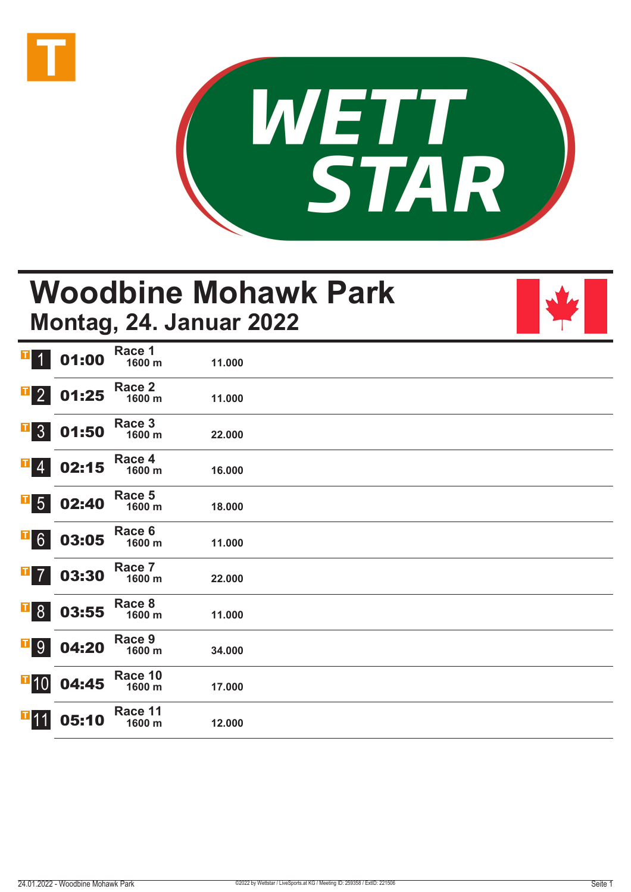



# **Woodbine Mohawk Park Montag, 24. Januar 2022**



| T <br>$\overline{1}$       | 01:00 | Race 1<br>1600 m  | 11.000 |  |
|----------------------------|-------|-------------------|--------|--|
| $\overline{1}$ 2           | 01:25 | Race 2<br>1600 m  | 11.000 |  |
| $\overline{1}$ 3           | 01:50 | Race 3<br>1600 m  | 22.000 |  |
| $\mathbf{F}$ 4             | 02:15 | Race 4<br>1600 m  | 16.000 |  |
| $\mathbf{F}$ 5             | 02:40 | Race 5<br>1600 m  | 18.000 |  |
| $\overline{1}$ 6           | 03:05 | Race 6<br>1600 m  | 11.000 |  |
| $\overline{1}$ 7           | 03:30 | Race 7<br>1600 m  | 22.000 |  |
| $\overline{1}8$            | 03:55 | Race 8<br>1600 m  | 11.000 |  |
| <b>T</b> 9                 | 04:20 | Race 9<br>1600 m  | 34.000 |  |
| $\overline{\textbf{1}}$ 10 | 04:45 | Race 10<br>1600 m | 17.000 |  |
| $\mathbf{T}$ 11            | 05:10 | Race 11<br>1600 m | 12.000 |  |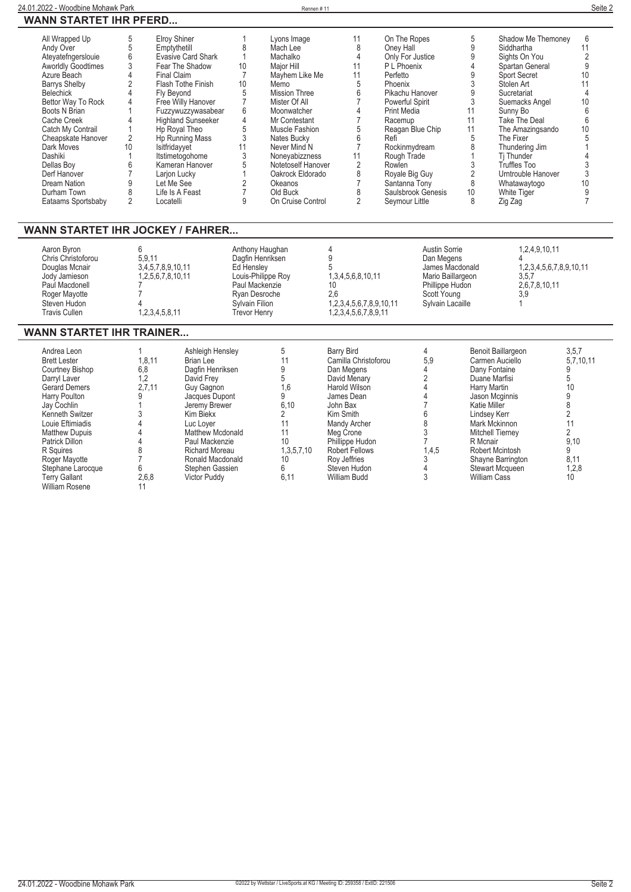| 24.01.2022 - Woodbine Mohawk Park |                |                           |    | Rennen#11          |    |                    |    |                     | Seite 2 |  |
|-----------------------------------|----------------|---------------------------|----|--------------------|----|--------------------|----|---------------------|---------|--|
| <b>WANN STARTET IHR PFERD</b>     |                |                           |    |                    |    |                    |    |                     |         |  |
| All Wrapped Up                    | 5              | Elroy Shiner              |    | Lyons Image        | 11 | On The Ropes       | 5  | Shadow Me Themoney  | 6       |  |
| Andy Over                         |                | Emptythetill              |    | Mach Lee           |    | Oney Hall          | 9  | Siddhartha          |         |  |
| Ateyatefngerslouie                |                | Evasive Card Shark        |    | Machalko           |    | Only For Justice   |    | Sights On You       |         |  |
| <b>Aworldly Goodtimes</b>         |                | Fear The Shadow           | 10 | Major Hill         | 11 | P L Phoenix        |    | Spartan General     |         |  |
| Azure Beach                       |                | Final Claim               |    | Mayhem Like Me     | 11 | Perfetto           |    | <b>Sport Secret</b> | 10      |  |
| <b>Barrys Shelby</b>              |                | Flash Tothe Finish        | 10 | Memo               |    | Phoenix            |    | Stolen Art          |         |  |
| Belechick                         |                | Fly Beyond                |    | Mission Three      |    | Pikachu Hanover    |    | Sucretariat         |         |  |
| Bettor Way To Rock                |                | Free Willy Hanover        |    | Mister Of All      |    | Powerful Spirit    |    | Suemacks Angel      | 10      |  |
| Boots N Brian                     |                | Fuzzywuzzywasabear        | 6  | Moonwatcher        |    | Print Media        |    | Sunny Bo            |         |  |
| Cache Creek                       |                | <b>Highland Sunseeker</b> |    | Mr Contestant      |    | Racemup            | 11 | Take The Deal       |         |  |
| Catch My Contrail                 |                | Hp Royal Theo             |    | Muscle Fashion     |    | Reagan Blue Chip   |    | The Amazingsando    | 10      |  |
| Cheapskate Hanover                |                | Hp Running Mass           |    | Nates Bucky        | 6  | Refi               | 5  | The Fixer           |         |  |
| Dark Moves                        | 10             | Isitfridayyet             |    | Never Mind N       |    | Rockinmydream      |    | Thundering Jim      |         |  |
| Dashiki                           |                | Itstimetogohome           |    | Noneyabizzness     | 11 | Rough Trade        |    | Ti Thunder          |         |  |
| Dellas Boy                        |                | Kameran Hanover           |    | Notetoself Hanover |    | Rowlen             |    | Truffles Too        |         |  |
| Derf Hanover                      |                | Larjon Lucky              |    | Oakrock Eldorado   | 8  | Royale Big Guy     |    | Urntrouble Hanover  |         |  |
| Dream Nation                      |                | Let Me See                |    | Okeanos            |    | Santanna Tony      | 8  | Whatawaytogo        | 10      |  |
| Durham Town                       |                | Life Is A Feast           |    | Old Buck           |    | Saulsbrook Genesis | 10 | <b>White Tiger</b>  |         |  |
| Eataams Sportsbaby                | $\overline{2}$ | Locatelli                 |    | On Cruise Control  | 2  | Seymour Little     | 8  | Zig Zag             |         |  |
|                                   |                |                           |    |                    |    |                    |    |                     |         |  |
|                                   |                |                           |    |                    |    |                    |    |                     |         |  |
| WANN STARTET IHR JOCKEY / FAHRER  |                |                           |    |                    |    |                    |    |                     |         |  |

## **WANN STARTET IHR JOCKEY / FAHR**

| Aaron Byron<br>Chris Christoforou<br>Douglas Mcnair<br>Jody Jamieson<br>Paul Macdonell<br>Roger Mayotte<br>Steven Hudon | 5.9.11<br>3,4,5,7,8,9,10,11<br>1,2,5,6,7,8,10,11 | Anthony Haughan<br>Dagfin Henriksen<br>Ed Henslev<br>Louis-Philippe Roy<br>Paul Mackenzie<br>Rvan Desroche<br>Sylvain Filion | 1,3,4,5,6,8,10,11<br>2.6<br>1,2,3,4,5,6,7,8,9,10,11 | Austin Sorrie<br>Dan Megens<br>James Macdonald<br>Mario Baillargeon<br>Phillippe Hudon<br>Scott Young<br>Sylvain Lacaille | 1,2,4,9,10,11<br>1,2,3,4,5,6,7,8,9,10,11<br>3,5,7<br>2,6,7,8,10,11<br>3.9 |
|-------------------------------------------------------------------------------------------------------------------------|--------------------------------------------------|------------------------------------------------------------------------------------------------------------------------------|-----------------------------------------------------|---------------------------------------------------------------------------------------------------------------------------|---------------------------------------------------------------------------|
| Travis Cullen                                                                                                           | 1,2,3,4,5,8,11                                   | Trevor Henrv                                                                                                                 | 1,2,3,4,5,6,7,8,9,11                                |                                                                                                                           |                                                                           |

## **WANN STARTET IHR TRAINER...**

| Andrea Leon<br><b>Brett Lester</b><br>Courtney Bishop<br>Darryl Laver<br><b>Gerard Demers</b><br>Harry Poulton<br>Jay Cochlin<br>Kenneth Switzer<br>Louie Eftimiadis<br><b>Matthew Dupuis</b><br>Patrick Dillon<br>R Squires<br>Roger Mayotte<br>Stephane Larocque<br><b>Terry Gallant</b><br><b>William Rosene</b> | 1, 8, 11<br>6,8<br>.2<br>2.7.11<br>2,6,8 | Ashleigh Hensley<br>Brian Lee<br>Dagfin Henriksen<br>David Frev<br>Guy Gagnon<br>Jacques Dupont<br>Jeremy Brewer<br>Kim Biekx<br>Luc Lover<br>Matthew Mcdonald<br>Paul Mackenzie<br>Richard Moreau<br>Ronald Macdonald<br>Stephen Gassien<br><b>Victor Puddy</b> | 5<br>1,6<br>6,10<br>11<br>10<br>1,3,5,7,10<br>10<br>6<br>6,11 | Barry Bird<br>Camilla Christoforou<br>Dan Megens<br>David Menary<br>Harold Wilson<br>James Dean<br>John Bax<br>Kim Smith<br>Mandy Archer<br>Meg Crone<br>Phillippe Hudon<br><b>Robert Fellows</b><br>Roy Jeffries<br>Steven Hudon<br>William Budd | 5,9<br>1,4,5 | Benoit Baillargeon<br>Carmen Auciello<br>Dany Fontaine<br>Duane Marfisi<br>Harry Martin<br>Jason Mcginnis<br>Katie Miller<br>Lindsey Kerr<br>Mark Mckinnon<br>Mitchell Tierney<br>R Mcnair<br>Robert Mcintosh<br>Shayne Barrington<br>Stewart Mcqueen<br><b>William Cass</b> | 3,5,7<br>5,7,10,11<br>10<br>9,10<br>8,11<br>1,2,8<br>10 |
|---------------------------------------------------------------------------------------------------------------------------------------------------------------------------------------------------------------------------------------------------------------------------------------------------------------------|------------------------------------------|------------------------------------------------------------------------------------------------------------------------------------------------------------------------------------------------------------------------------------------------------------------|---------------------------------------------------------------|---------------------------------------------------------------------------------------------------------------------------------------------------------------------------------------------------------------------------------------------------|--------------|------------------------------------------------------------------------------------------------------------------------------------------------------------------------------------------------------------------------------------------------------------------------------|---------------------------------------------------------|
|---------------------------------------------------------------------------------------------------------------------------------------------------------------------------------------------------------------------------------------------------------------------------------------------------------------------|------------------------------------------|------------------------------------------------------------------------------------------------------------------------------------------------------------------------------------------------------------------------------------------------------------------|---------------------------------------------------------------|---------------------------------------------------------------------------------------------------------------------------------------------------------------------------------------------------------------------------------------------------|--------------|------------------------------------------------------------------------------------------------------------------------------------------------------------------------------------------------------------------------------------------------------------------------------|---------------------------------------------------------|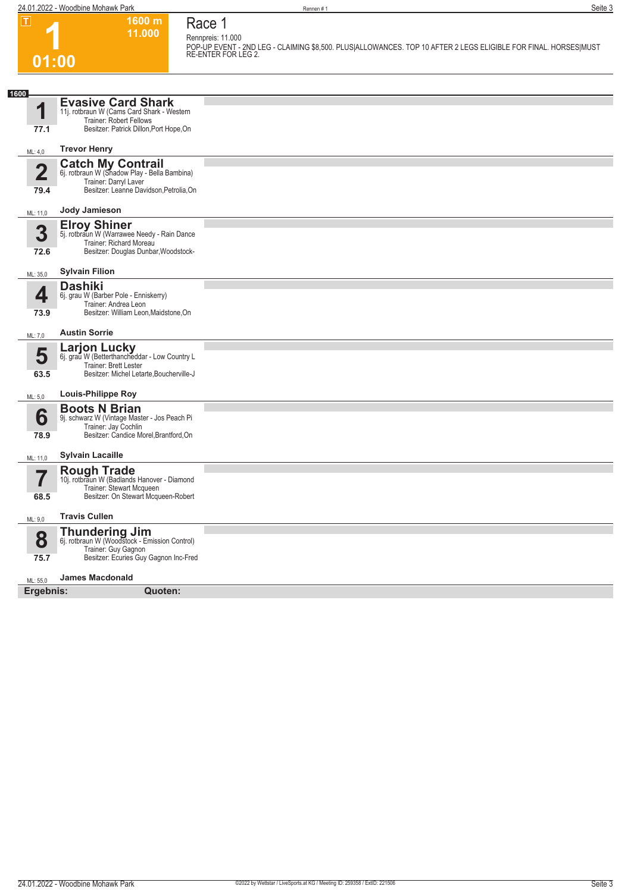**1600 m 11.000**  **Race 1**

| 01:00 |  |
|-------|--|

**Rennpreis: 11.000 POP-UP EVENT - 2ND LEG - CLAIMING \$8,500. PLUS|ALLOWANCES. TOP 10 AFTER 2 LEGS ELIGIBLE FOR FINAL. HORSES|MUST RE-ENTER FOR LEG 2.** 

| 1600                            |                                                                                                                                               |  |
|---------------------------------|-----------------------------------------------------------------------------------------------------------------------------------------------|--|
| 1<br>77.1                       | <b>Evasive Card Shark</b><br>11j. rotbraun W (Cams Card Shark - Western<br>Trainer: Robert Fellows<br>Besitzer: Patrick Dillon, Port Hope, On |  |
| ML: 4,0                         | <b>Trevor Henry</b>                                                                                                                           |  |
| $\overline{\mathbf{2}}$<br>79.4 | <b>Catch My Contrail</b><br>6j. rotbraun W (Shadow Play - Bella Bambina)<br>Trainer: Darryl Laver<br>Besitzer: Leanne Davidson, Petrolia, On  |  |
| ML: 11,0                        | Jody Jamieson                                                                                                                                 |  |
| 3<br>72.6                       | <b>Elroy Shiner</b><br>5j. rotbraun W (Warrawee Needy - Rain Dance<br>Trainer: Richard Moreau<br>Besitzer: Douglas Dunbar, Woodstock-         |  |
| ML: 35,0                        | <b>Sylvain Filion</b>                                                                                                                         |  |
| 4<br>73.9                       | <b>Dashiki</b><br>6j. grau W (Barber Pole - Enniskerry)<br>Trainer: Andrea Leon<br>Besitzer: William Leon, Maidstone, On                      |  |
| ML: 7,0                         | <b>Austin Sorrie</b>                                                                                                                          |  |
| 5<br>63.5                       | <b>Larjon Lucky</b><br>6j. grau W (Betterthancheddar - Low Country L<br>Trainer: Brett Lester<br>Besitzer: Michel Letarte, Boucherville-J     |  |
| ML: 5,0                         | <b>Louis-Philippe Roy</b>                                                                                                                     |  |
| 6<br>78.9                       | <b>Boots N Brian</b><br>9j. schwarz W (Vintage Master - Jos Peach Pi<br>Trainer: Jay Cochlin<br>Besitzer: Candice Morel, Brantford, On        |  |
| ML: 11,0                        | <b>Sylvain Lacaille</b>                                                                                                                       |  |
| 7<br>I<br>68.5                  | <b>Rough Trade</b><br>10j. rotbraun W (Badlands Hanover - Diamond<br>Trainer: Stewart Mcqueen<br>Besitzer: On Stewart Mcqueen-Robert          |  |
| ML: 9,0                         | <b>Travis Cullen</b>                                                                                                                          |  |
| 8<br>75.7                       | Thundering Jim<br>6j. rotbraun W (Woodstock - Emission Control)<br>Trainer: Guy Gagnon<br>Besitzer: Ecuries Guy Gagnon Inc-Fred               |  |
| ML: 55,0                        | <b>James Macdonald</b>                                                                                                                        |  |
| Ergebnis:                       | Quoten:                                                                                                                                       |  |
|                                 |                                                                                                                                               |  |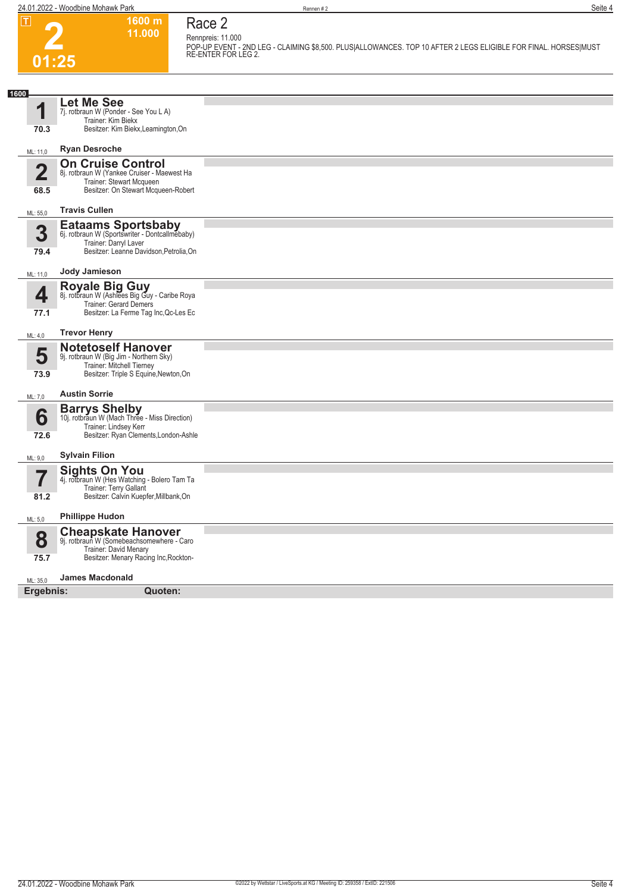# **Race 2 Rennpreis: 11.000**

**1600 m 11.000** 

**2 01:25**

**POP-UP EVENT - 2ND LEG - CLAIMING \$8,500. PLUS|ALLOWANCES. TOP 10 AFTER 2 LEGS ELIGIBLE FOR FINAL. HORSES|MUST RE-ENTER FOR LEG 2.** 

| 1600                    |                                                                                                                                                 |  |
|-------------------------|-------------------------------------------------------------------------------------------------------------------------------------------------|--|
|                         | <b>Let Me See</b><br>7j. rotbraun W (Ponder - See You L A)                                                                                      |  |
| 70.3                    | Trainer: Kim Biekx<br>Besitzer: Kim Biekx, Leamington, On                                                                                       |  |
| ML: 11,0                | <b>Ryan Desroche</b>                                                                                                                            |  |
| $\overline{\mathbf{2}}$ | <b>On Cruise Control</b><br>8j. rotbraun W (Yankee Cruiser - Maewest Ha                                                                         |  |
| 68.5                    | Trainer: Stewart Mcqueen<br>Besitzer: On Stewart Mcqueen-Robert                                                                                 |  |
|                         |                                                                                                                                                 |  |
| ML: 55,0                | <b>Travis Cullen</b>                                                                                                                            |  |
| 3                       | <b>Eataams Sportsbaby</b><br>6j. rotbraun W (Sportswriter - Dontcallmebaby)<br>Trainer: Darryl Laver<br>Besitzer: Leanne Davidson, Petrolia, On |  |
| 79.4                    |                                                                                                                                                 |  |
| ML: 11,0                | Jody Jamieson                                                                                                                                   |  |
| 4                       | Royale Big Guy<br>8j. rotbraun W (Ashlees Big Guy - Caribe Roya<br><b>Trainer: Gerard Demers</b>                                                |  |
| 77.1                    | Besitzer: La Ferme Tag Inc, Qc-Les Ec                                                                                                           |  |
| ML: 4.0                 | <b>Trevor Henry</b>                                                                                                                             |  |
| 5<br>73.9               | <b>Notetoself Hanover</b><br>9j. rotbraun W (Big Jim - Northern Sky)<br>Trainer: Mitchell Tierney<br>Besitzer: Triple S Equine, Newton, On      |  |
| ML: 7,0                 | <b>Austin Sorrie</b>                                                                                                                            |  |
|                         |                                                                                                                                                 |  |
| 6                       | <b>Barrys Shelby</b><br>10j. rotbraun W (Mach Three - Miss Direction)<br>Trainer: Lindsey Kerr                                                  |  |
| 72.6                    | Besitzer: Ryan Clements, London-Ashle                                                                                                           |  |
| ML: 9,0                 | <b>Sylvain Filion</b>                                                                                                                           |  |
|                         | <b>Sights On You</b><br>4j. rotbraun W (Hes Watching - Bolero Tam Ta<br>Trainer: Terry Gallant                                                  |  |
| 81.2                    | Besitzer: Calvin Kuepfer, Millbank, On                                                                                                          |  |
| ML: 5,0                 | <b>Phillippe Hudon</b>                                                                                                                          |  |
| 8                       | <b>Cheapskate Hanover</b>                                                                                                                       |  |
|                         | 9j. rotbraun W (Somebeachsomewhere - Caro<br>Trainer: David Menary                                                                              |  |
| 75.7                    | Besitzer: Menary Racing Inc, Rockton-                                                                                                           |  |
| ML: 35,0                | <b>James Macdonald</b>                                                                                                                          |  |
| Ergebnis:               | Quoten:                                                                                                                                         |  |
|                         |                                                                                                                                                 |  |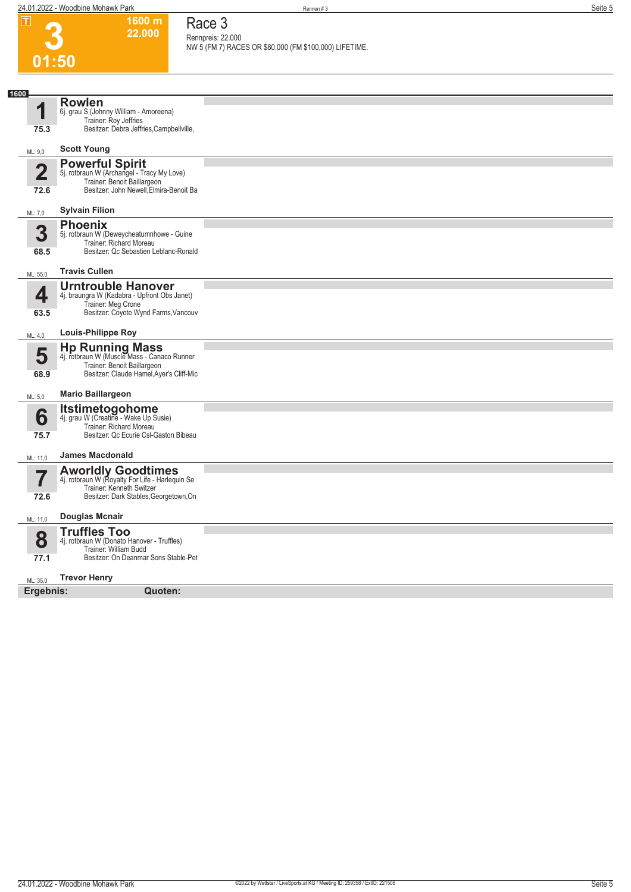| $\Box$                          | 1600 m<br>22.000                                                                                                                                   | Race 3<br>Rennpreis: 22.000                            |
|---------------------------------|----------------------------------------------------------------------------------------------------------------------------------------------------|--------------------------------------------------------|
|                                 |                                                                                                                                                    | NW 5 (FM 7) RACES OR \$80,000 (FM \$100,000) LIFETIME. |
| 01:50                           |                                                                                                                                                    |                                                        |
| 1600                            |                                                                                                                                                    |                                                        |
| 1<br>75.3                       | <b>Rowlen</b><br>6j. grau S (Johnny William - Amoreena)<br>Trainer: Roy Jeffries<br>Besitzer: Debra Jeffries, Campbellville,                       |                                                        |
| ML: 9,0                         | <b>Scott Young</b>                                                                                                                                 |                                                        |
| $\overline{\mathbf{2}}$<br>72.6 | <b>Powerful Spirit</b><br>5j. rotbraun W (Archangel - Tracy My Love)<br>Trainer: Benoit Baillargeon<br>Besitzer: John Newell, Elmira-Benoit Ba     |                                                        |
| ML: 7,0                         | <b>Sylvain Filion</b>                                                                                                                              |                                                        |
| 3<br>68.5                       | <b>Phoenix</b><br>5j. rotbraun W (Deweycheatumnhowe - Guine<br>Trainer: Richard Moreau<br>Besitzer: Qc Sebastien Leblanc-Ronald                    |                                                        |
| ML: 55,0                        | <b>Travis Cullen</b>                                                                                                                               |                                                        |
| 4<br>63.5                       | <b>Urntrouble Hanover</b><br>4j. braungra W (Kadabra - Upfront Obs Janet)<br>Trainer: Meg Crone<br>Besitzer: Coyote Wynd Farms, Vancouv            |                                                        |
| ML: 4,0                         | <b>Louis-Philippe Roy</b>                                                                                                                          |                                                        |
| 5<br>68.9                       | Hp Running Mass<br>4j. rotbraun W (Muscle Mass - Canaco Runner<br>Trainer: Benoit Baillargeon<br>Besitzer: Claude Hamel, Ayer's Cliff-Mic          |                                                        |
| ML: 5,0                         | <b>Mario Baillargeon</b>                                                                                                                           |                                                        |
| 6<br>75.7                       | <b>Itstimetogohome</b><br>4j. grau W (Creatine - Wake Up Susie)<br>Trainer: Richard Moreau<br>Besitzer: Qc Ecurie Csl-Gaston Bibeau                |                                                        |
| ML: 11,0                        | <b>James Macdonald</b>                                                                                                                             |                                                        |
| 72.6                            | <b>Aworldly Goodtimes</b><br>4j. rotbraun W (Royalty For Life - Harlequin Se<br>Trainer: Kenneth Switzer<br>Besitzer: Dark Stables, Georgetown, On |                                                        |
| ML: 11,0                        | <b>Douglas Mcnair</b>                                                                                                                              |                                                        |
| 8<br>77.1                       | <b>Truffles Too</b><br>4j. rotbraun W (Donato Hanover - Truffles)<br>Trainer: William Budd<br>Besitzer: On Deanmar Sons Stable-Pet                 |                                                        |
| ML: 35,0                        | <b>Trevor Henry</b>                                                                                                                                |                                                        |
| Ergebnis:                       | Quoten:                                                                                                                                            |                                                        |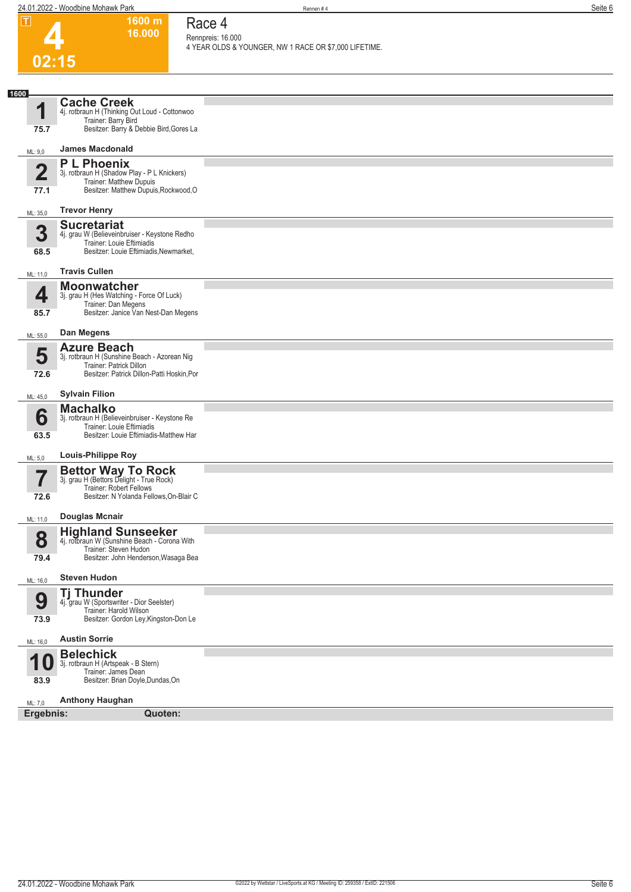**1600 m**

**Race 4**

#### **4 02:15 16.000 Rennpreis: 16.000 4 YEAR OLDS & YOUNGER, NW 1 RACE OR \$7,000 LIFETIME. 1 1600** ML: 9,0 **75.7 Cache Creek** 4j. rotbraun H (Thinking Out Loud - Cottonwoo Trainer: Barry Bird Besitzer: Barry & Debbie Bird,Gores La **James Macdonald 2** ML: 35,0 **77.1 P L Phoenix** 3j. rotbraun H (Shadow Play - P L Knickers) Trainer: Matthew Dupuis Besitzer: Matthew Dupuis, Rockwood, O **Trevor Henry 3** ML: 11,0 **68.5 Sucretariat** 4j. grau W (Believeinbruiser - Keystone Redho Trainer: Louie Eftimiadis Besitzer: Louie Eftimiadis,Newmarket, **Travis Cullen 4** ML: 55,0 **85.7 Moonwatcher** 3j. grau H (Hes Watching - Force Of Luck) Trainer: Dan Megens Besitzer: Janice Van Nest-Dan Megens **Dan Megens 5** ML: 45,0 **72.6 Azure Beach** 3j. rotbraun H (Sunshine Beach - Azorean Nig Trainer: Patrick Dillon Besitzer: Patrick Dillon-Patti Hoskin,Por **Sylvain Filion 6** ML: 5,0 **63.5 Machalko** 3j. rotbraun H (Believeinbruiser - Keystone Re Trainer: Louie Eftimiadis Besitzer: Louie Eftimiadis-Matthew Har **Louis-Philippe Roy 7** ML: 11,0 **72.6 Bettor Way To Rock** 3j. grau H (Bettors Delight - True Rock) Trainer: Robert Fellows Besitzer: N Yolanda Fellows,On-Blair C **Douglas Mcnair 8** ML: 16,0 **79.4 Highland Sunseeker**<br>4j. rotbraun W (Sunshine Beach - Corona raun W (Sunshine Beach - Corona With Trainer: Steven Hudon Besitzer: John Henderson,Wasaga Bea **Steven Hudon 9** ML: 16,0 **73.9 Tj Thunder** 4j. grau W (Sportswriter - Dior Seelster) Trainer: Harold Wilson Besitzer: Gordon Ley,Kingston-Don Le **Austin Sorrie 10** ML: 7,0 **83.9 Belechick** 3j. rotbraun H (Artspeak - B Stern) Trainer: James Dean Besitzer: Brian Doyle,Dundas,On **Anthony Haughan Ergebnis: Quoten:**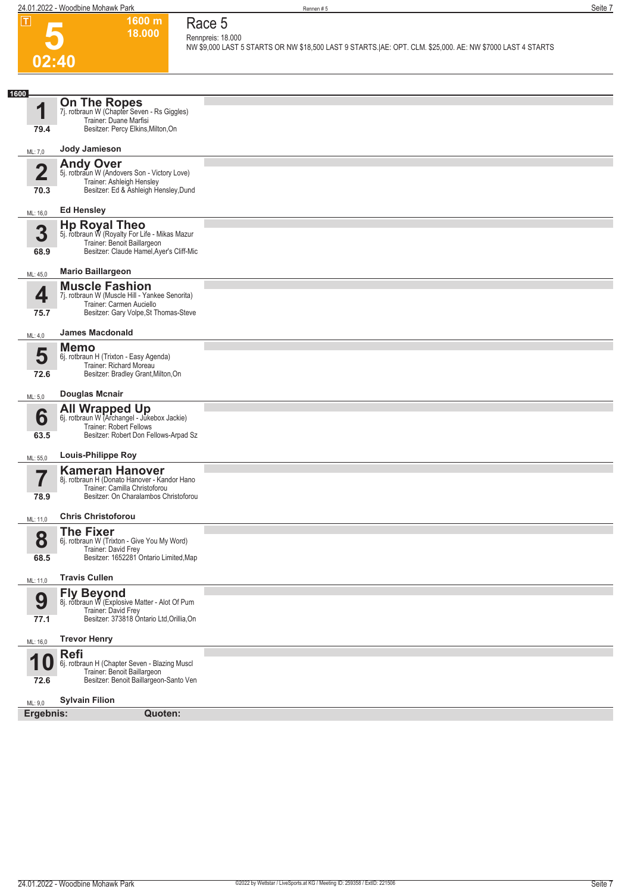**1600 m 18.000**  **Race 5 Rennpreis: 18.000**

**NW \$9,000 LAST 5 STARTS OR NW \$18,500 LAST 9 STARTS.|AE: OPT. CLM. \$25,000. AE: NW \$7000 LAST 4 STARTS** 

| ×<br>r |  |
|--------|--|

| 1600                   |                                                                                                                                                   |  |
|------------------------|---------------------------------------------------------------------------------------------------------------------------------------------------|--|
| 4<br>79.4              | <b>On The Ropes</b><br>7j. rotbraun W (Chapter Seven - Rs Giggles)<br>Trainer: Duane Marfisi<br>Besitzer: Percy Elkins, Milton, On                |  |
| ML: 7,0                | Jody Jamieson                                                                                                                                     |  |
| $\overline{2}$<br>70.3 | <b>Andy Over</b><br>5j. rotbraun W (Andovers Son - Victory Love)<br>Trainer: Ashleigh Hensley<br>Besitzer: Ed & Ashleigh Hensley, Dund            |  |
| ML: 16,0               | <b>Ed Hensley</b>                                                                                                                                 |  |
| 3<br>68.9              | <b>Hp Royal Theo</b><br>5j. rotbraun W (Royalty For Life - Mikas Mazur<br>Trainer: Benoit Baillargeon<br>Besitzer: Claude Hamel, Ayer's Cliff-Mic |  |
| ML: 45,0               | <b>Mario Baillargeon</b>                                                                                                                          |  |
| 4<br>75.7              | <b>Muscle Fashion</b><br>7j. rotbraun W (Muscle Hill - Yankee Senorita)<br>Trainer: Carmen Auciello<br>Besitzer: Gary Volpe, St Thomas-Steve      |  |
| ML: 4,0                | <b>James Macdonald</b>                                                                                                                            |  |
| 5<br>72.6              | <b>Memo</b><br>6j. rotbraun H (Trixton - Easy Agenda)<br>Trainer: Richard Moreau<br>Besitzer: Bradley Grant, Milton, On                           |  |
| ML: 5,0                | <b>Douglas Mcnair</b>                                                                                                                             |  |
| 6<br>63.5              | All Wrapped Up 6j. rotbraun W (Archangel - Jukebox Jackie)<br><b>Trainer: Robert Fellows</b><br>Besitzer: Robert Don Fellows-Arpad Sz             |  |
| ML: 55,0               | <b>Louis-Philippe Roy</b>                                                                                                                         |  |
| 78.9                   | <b>Kameran Hanover</b><br>8j. rotbraun H (Donato Hanover - Kandor Hano<br>Trainer: Camilla Christoforou<br>Besitzer: On Charalambos Christoforou  |  |
| ML: 11,0               | <b>Chris Christoforou</b>                                                                                                                         |  |
| 8<br>68.5              | <b>The Fixer</b><br>6j. rotbraun W (Trixton - Give You My Word)<br>Trainer: David Frey<br>Besitzer: 1652281 Ontario Limited, Map                  |  |
| ML: 11,0               | <b>Travis Cullen</b>                                                                                                                              |  |
| 9<br>77.1              | <b>Fly Beyond</b><br>8j. rotbraun W (Explosive Matter - Alot Of Pum<br>Trainer: David Frey<br>Besitzer: 373818 Ontario Ltd, Orillia, On           |  |
| ML: 16,0               | <b>Trevor Henry</b>                                                                                                                               |  |
| 72.6                   | <b>Refi</b><br>6j. rotbraun H (Chapter Seven - Blazing Muscl<br>Trainer: Benoit Baillargeon<br>Besitzer: Benoit Baillargeon-Santo Ven             |  |
| ML: 9,0                | <b>Sylvain Filion</b>                                                                                                                             |  |
| Ergebnis:              | Quoten:                                                                                                                                           |  |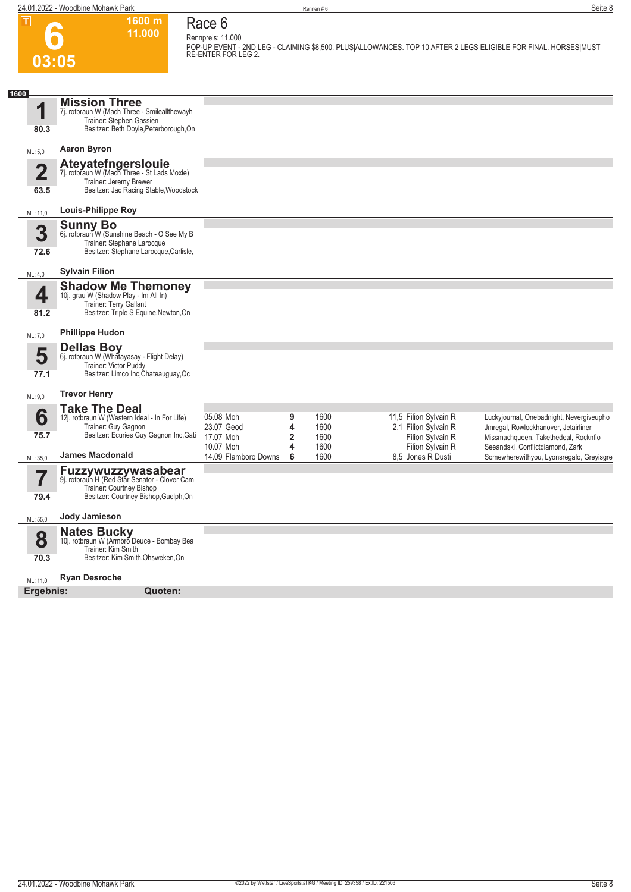| 03:05 |  |
|-------|--|

**Race 6 Rennpreis: 11.000**

**1600 m 11.000** 

**POP-UP EVENT - 2ND LEG - CLAIMING \$8,500. PLUS|ALLOWANCES. TOP 10 AFTER 2 LEGS ELIGIBLE FOR FINAL. HORSES|MUST RE-ENTER FOR LEG 2.** 

| 1600                            |                                                                                                                                        |                         |                                           |              |                                               |                                                                                  |
|---------------------------------|----------------------------------------------------------------------------------------------------------------------------------------|-------------------------|-------------------------------------------|--------------|-----------------------------------------------|----------------------------------------------------------------------------------|
| 1                               | <b>Mission Three</b><br>7j. rotbraun W (Mach Three - Smileallthewayh<br>Trainer: Stephen Gassien                                       |                         |                                           |              |                                               |                                                                                  |
| 80.3                            | Besitzer: Beth Doyle, Peterborough, On                                                                                                 |                         |                                           |              |                                               |                                                                                  |
| ML: 5,0                         | <b>Aaron Byron</b>                                                                                                                     |                         |                                           |              |                                               |                                                                                  |
| $\overline{\mathbf{2}}$<br>63.5 | Ateyatefngerslouie<br>7j. rotbraun W (Mach Three - St Lads Moxie)<br>Trainer: Jeremy Brewer<br>Besitzer: Jac Racing Stable, Woodstock  |                         |                                           |              |                                               |                                                                                  |
| ML: 11,0                        | <b>Louis-Philippe Roy</b>                                                                                                              |                         |                                           |              |                                               |                                                                                  |
| 3<br>72.6                       | <b>Sunny Bo</b><br>6j. rotbraun W (Sunshine Beach - O See My B<br>Trainer: Stephane Larocque<br>Besitzer: Stephane Larocque, Carlisle, |                         |                                           |              |                                               |                                                                                  |
| ML: 4,0                         | <b>Sylvain Filion</b>                                                                                                                  |                         |                                           |              |                                               |                                                                                  |
| 4<br>81.2                       | <b>Shadow Me Themoney</b><br>10j. grau W (Shadow Play - Im All In)<br>Trainer: Terry Gallant<br>Besitzer: Triple S Equine, Newton, On  |                         |                                           |              |                                               |                                                                                  |
|                                 |                                                                                                                                        |                         |                                           |              |                                               |                                                                                  |
| ML: 7,0                         | <b>Phillippe Hudon</b>                                                                                                                 |                         |                                           |              |                                               |                                                                                  |
| 5                               | <b>Dellas Boy</b><br>6j. rotbraun W (Whatayasay - Flight Delay)<br>Trainer: Victor Puddy                                               |                         |                                           |              |                                               |                                                                                  |
| 77.1                            | Besitzer: Limco Inc, Chateauguay, Qc                                                                                                   |                         |                                           |              |                                               |                                                                                  |
| ML: 9,0                         | <b>Trevor Henry</b>                                                                                                                    |                         |                                           |              |                                               |                                                                                  |
| 6                               | <b>Take The Deal</b><br>12j. rotbraun W (Western Ideal - In For Life)<br>Trainer: Guy Gagnon                                           | 05.08 Moh<br>23.07 Geod | 9<br>4                                    | 1600<br>1600 | 11,5 Filion Sylvain R<br>2,1 Filion Sylvain R | Luckyjournal, Onebadnight, Nevergiveupho<br>Jmregal, Rowlockhanover, Jetairliner |
| 75.7                            | Besitzer: Ecuries Guy Gagnon Inc, Gati<br><b>James Macdonald</b>                                                                       | 17.07 Moh<br>10.07 Moh  | $\overline{2}$<br>$\overline{\mathbf{4}}$ | 1600<br>1600 | Filion Sylvain R<br>Filion Sylvain R          | Missmachqueen, Takethedeal, Rocknflo<br>Seeandski, Conflictdiamond, Zark         |
| ML: 35,0                        |                                                                                                                                        | 14.09 Flamboro Downs    | 6                                         | 1600         | 8,5 Jones R Dusti                             | Somewherewithyou, Lyonsregalo, Greyisgre                                         |
|                                 | Fuzzywuzzywasabear<br>9j. rotbraun H (Red Star Senator - Clover Cam<br>Trainer: Courtney Bishop                                        |                         |                                           |              |                                               |                                                                                  |
| 79.4                            | Besitzer: Courtney Bishop, Guelph, On                                                                                                  |                         |                                           |              |                                               |                                                                                  |
| ML: 55,0                        | Jody Jamieson                                                                                                                          |                         |                                           |              |                                               |                                                                                  |
| 8<br>70.3                       | <b>Nates Bucky</b><br>10j. rotbraun W (Armbro Deuce - Bombay Bea<br>Trainer: Kim Smith<br>Besitzer: Kim Smith, Ohsweken, On            |                         |                                           |              |                                               |                                                                                  |
|                                 | <b>Ryan Desroche</b>                                                                                                                   |                         |                                           |              |                                               |                                                                                  |
| ML: 11,0<br>Ergebnis:           | Quoten:                                                                                                                                |                         |                                           |              |                                               |                                                                                  |
|                                 |                                                                                                                                        |                         |                                           |              |                                               |                                                                                  |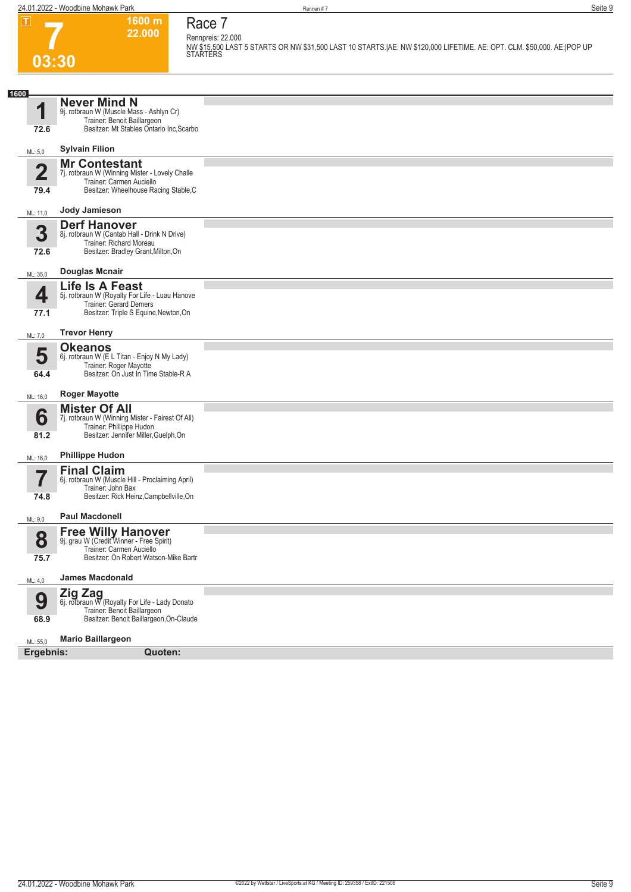#### **1600 m 22.000 Race 7 Rennpreis: 22.000**

**7 03:30**

**NW \$15,500 LAST 5 STARTS OR NW \$31,500 LAST 10 STARTS.|AE: NW \$120,000 LIFETIME. AE: OPT. CLM. \$50,000. AE:|POP UP STARTERS** 

| 1600                            |                                                                                                                                               |  |
|---------------------------------|-----------------------------------------------------------------------------------------------------------------------------------------------|--|
| 4<br>72.6                       | <b>Never Mind N</b><br>9j. rotbraun W (Muscle Mass - Ashlyn Cr)<br>Trainer: Benoit Baillargeon<br>Besitzer: Mt Stables Ontario Inc, Scarbo    |  |
| ML: 5,0                         | <b>Sylvain Filion</b>                                                                                                                         |  |
| $\overline{\mathbf{2}}$<br>79.4 | <b>Mr Contestant</b><br>7j. rotbraun W (Winning Mister - Lovely Challe<br>Trainer: Carmen Auciello<br>Besitzer: Wheelhouse Racing Stable,C    |  |
| ML: 11,0                        | Jody Jamieson                                                                                                                                 |  |
| 3<br>72.6                       | <b>Derf Hanover</b><br>8j. rotbraun W (Cantab Hall - Drink N Drive)<br>Trainer: Richard Moreau<br>Besitzer: Bradley Grant, Milton, On         |  |
| ML: 35,0                        | <b>Douglas Mcnair</b>                                                                                                                         |  |
| 4<br>77.1                       | Life Is A Feast<br>5j. rotbraun W (Royalty For Life - Luau Hanove<br>Trainer: Gerard Demers<br>Besitzer: Triple S Equine, Newton, On          |  |
| ML: 7,0                         | <b>Trevor Henry</b>                                                                                                                           |  |
| 5<br>64.4                       | <b>Okeanos</b><br>6j. rotbraun W (E L Titan - Enjoy N My Lady)<br>Trainer: Roger Mayotte<br>Besitzer: On Just In Time Stable-R A              |  |
| ML: 16,0                        | <b>Roger Mayotte</b>                                                                                                                          |  |
| 6<br>81.2                       | <b>Mister Of All</b><br>7j. rotbraun W (Winning Mister - Fairest Of All)<br>Trainer: Phillippe Hudon<br>Besitzer: Jennifer Miller, Guelph, On |  |
| ML: 16,0                        | <b>Phillippe Hudon</b>                                                                                                                        |  |
| 57<br>74.8                      | <b>Final Claim</b><br>6j. rotbraun W (Muscle Hill - Proclaiming April)<br>Trainer: John Bax<br>Besitzer: Rick Heinz, Campbellville, On        |  |
| ML: 9,0                         | <b>Paul Macdonell</b>                                                                                                                         |  |
| 8<br>75.7                       | <b>Free Willy Hanover</b><br>9j. grau W (Credit Winner - Free Spirit)<br>Trainer: Carmen Auciello<br>Besitzer: On Robert Watson-Mike Bartr    |  |
| ML: 4,0                         | <b>James Macdonald</b>                                                                                                                        |  |
| 9<br>68.9                       | Zig Zag<br>6j. rotbraun W (Royalty For Life - Lady Donato<br>Trainer: Benoit Baillargeon<br>Besitzer: Benoit Baillargeon, On-Claude           |  |
| ML: 55,0                        | <b>Mario Baillargeon</b>                                                                                                                      |  |
| Ergebnis:                       | Quoten:                                                                                                                                       |  |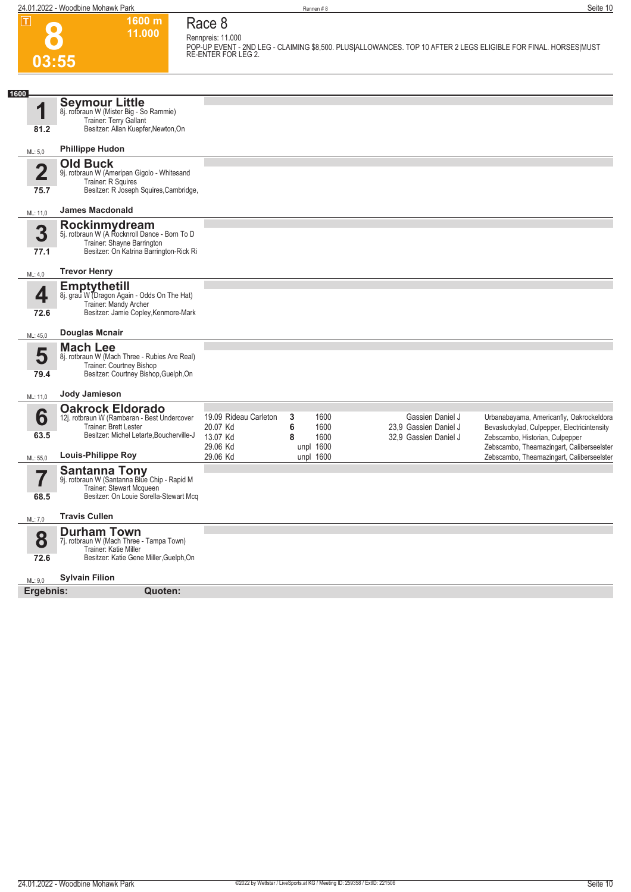**1600 m 11.000** 

**POP-UP EVENT - 2ND LEG - CLAIMING \$8,500. PLUS|ALLOWANCES. TOP 10 AFTER 2 LEGS ELIGIBLE FOR FINAL. HORSES|MUST RE-ENTER FOR LEG 2.** 

### **Race 8 Rennpreis: 11.000**

**8 03:55**

|                        | uu.uu                                                                                                                                       |                                                           |                                                  |                                                                    |                                                                                                                                                                         |
|------------------------|---------------------------------------------------------------------------------------------------------------------------------------------|-----------------------------------------------------------|--------------------------------------------------|--------------------------------------------------------------------|-------------------------------------------------------------------------------------------------------------------------------------------------------------------------|
| 1600                   |                                                                                                                                             |                                                           |                                                  |                                                                    |                                                                                                                                                                         |
| 1<br>81.2              | <b>Seymour Little</b><br>8j. rotbraun W (Mister Big - So Rammie)<br>Trainer: Terry Gallant<br>Besitzer: Allan Kuepfer, Newton, On           |                                                           |                                                  |                                                                    |                                                                                                                                                                         |
| ML: 5,0                | <b>Phillippe Hudon</b>                                                                                                                      |                                                           |                                                  |                                                                    |                                                                                                                                                                         |
| $\overline{2}$<br>75.7 | <b>Old Buck</b><br>9j. rotbraun W (Ameripan Gigolo - Whitesand<br>Trainer: R Squires<br>Besitzer: R Joseph Squires, Cambridge,              |                                                           |                                                  |                                                                    |                                                                                                                                                                         |
| ML: 11,0               | James Macdonald                                                                                                                             |                                                           |                                                  |                                                                    |                                                                                                                                                                         |
| 3<br>77.1              | Rockinmydream<br>5j. rotbraun W (A Rocknroll Dance - Born To D<br>Trainer: Shayne Barrington<br>Besitzer: On Katrina Barrington-Rick Ri     |                                                           |                                                  |                                                                    |                                                                                                                                                                         |
| ML: 4,0                | <b>Trevor Henry</b>                                                                                                                         |                                                           |                                                  |                                                                    |                                                                                                                                                                         |
| 4<br>72.6              | <b>Emptythetill</b><br>8j. grau W (Dragon Again - Odds On The Hat)<br>Trainer: Mandy Archer<br>Besitzer: Jamie Copley, Kenmore-Mark         |                                                           |                                                  |                                                                    |                                                                                                                                                                         |
| ML: 45,0               | <b>Douglas Mcnair</b>                                                                                                                       |                                                           |                                                  |                                                                    |                                                                                                                                                                         |
| 5<br>79.4              | <b>Mach Lee</b><br>8j. rotbraun W (Mach Three - Rubies Are Real)<br>Trainer: Courtney Bishop<br>Besitzer: Courtney Bishop, Guelph, On       |                                                           |                                                  |                                                                    |                                                                                                                                                                         |
| ML: 11,0               | <b>Jody Jamieson</b>                                                                                                                        |                                                           |                                                  |                                                                    |                                                                                                                                                                         |
| 6<br>63.5              | <b>Oakrock Eldorado</b><br>12j. rotbraun W (Rambaran - Best Undercover<br>Trainer: Brett Lester<br>Besitzer: Michel Letarte, Boucherville-J | 19.09 Rideau Carleton<br>20.07 Kd<br>13.07 Kd<br>29.06 Kd | 3<br>1600<br>6<br>1600<br>8<br>1600<br>unpl 1600 | Gassien Daniel J<br>23.9 Gassien Daniel J<br>32.9 Gassien Daniel J | Urbanabayama, Americanfly, Oakrockeldora<br>Bevasluckylad, Culpepper, Electricintensity<br>Zebscambo, Historian, Culpepper<br>Zebscambo, Theamazingart, Caliberseelster |
| ML: 55,0               | <b>Louis-Philippe Roy</b>                                                                                                                   | 29.06 Kd                                                  | unpl 1600                                        |                                                                    | Zebscambo, Theamazingart, Caliberseelster                                                                                                                               |
| 7<br>68.5              | <b>Santanna Tony</b><br>9j. rotbraun W (Santanna Blue Chip - Rapid M<br>Trainer: Stewart Mcqueen<br>Besitzer: On Louie Sorella-Stewart Mcg  |                                                           |                                                  |                                                                    |                                                                                                                                                                         |
| ML: 7,0                | <b>Travis Cullen</b>                                                                                                                        |                                                           |                                                  |                                                                    |                                                                                                                                                                         |
| 8<br>72.6              | <b>Durham Town</b><br>7j. rotbraun W (Mach Three - Tampa Town)<br>Trainer: Katie Miller<br>Besitzer: Katie Gene Miller, Guelph, On          |                                                           |                                                  |                                                                    |                                                                                                                                                                         |
|                        |                                                                                                                                             |                                                           |                                                  |                                                                    |                                                                                                                                                                         |
| ML: 9.0                | <b>Sylvain Filion</b>                                                                                                                       |                                                           |                                                  |                                                                    |                                                                                                                                                                         |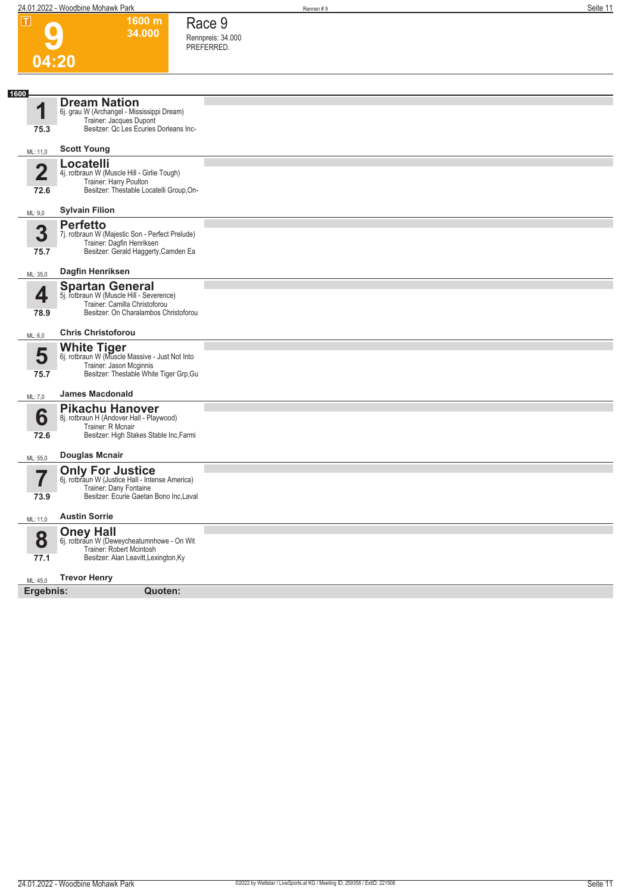**1600 m 34.000**  **Race 9 Rennpreis: 34.000**

**8** 



|                        |                                                                                                                                                 | PREFERRED. |
|------------------------|-------------------------------------------------------------------------------------------------------------------------------------------------|------------|
| 04:20                  |                                                                                                                                                 |            |
|                        |                                                                                                                                                 |            |
| 1600<br>1<br>75.3      | <b>Dream Nation</b><br>6j. grau W (Archangel - Mississippi Dream)<br>Trainer: Jacques Dupont<br>Besitzer: Qc Les Ecuries Dorleans Inc-          |            |
|                        | <b>Scott Young</b>                                                                                                                              |            |
| ML: 11,0               | Locatelli                                                                                                                                       |            |
| $\overline{2}$<br>72.6 | 4j. rotbraun W (Muscle Hill - Girlie Tough)<br>Trainer: Harry Poulton<br>Besitzer: Thestable Locatelli Group, On-                               |            |
| ML: 9,0                | <b>Sylvain Filion</b>                                                                                                                           |            |
| 3<br>75.7              | <b>Perfetto</b><br>7j. rotbraun W (Majestic Son - Perfect Prelude)<br>Trainer: Dagfin Henriksen<br>Besitzer: Gerald Haggerty, Camden Ea         |            |
| ML: 35,0               | Dagfin Henriksen                                                                                                                                |            |
| 4<br>78.9              | <b>Spartan General</b><br>5j. rotbraun W (Muscle Hill - Severence)<br>Trainer: Camilla Christoforou<br>Besitzer: On Charalambos Christoforou    |            |
| ML: 6,0                | <b>Chris Christoforou</b>                                                                                                                       |            |
| 5<br>75.7              | White Tiger<br>6j. rotbraun W (Muscle Massive - Just Not Into<br>Trainer: Jason Mcginnis<br>Besitzer: Thestable White Tiger Grp, Gu             |            |
| ML: 7,0                | <b>James Macdonald</b>                                                                                                                          |            |
| 6<br>72.6              | <b>Pikachu Hanover</b><br>8j. rotbraun H (Andover Hall - Playwood)<br>Trainer: R Mcnair<br>Besitzer: High Stakes Stable Inc, Farmi              |            |
| ML: 55,0               | <b>Douglas Mcnair</b>                                                                                                                           |            |
| I<br>73.9              | <b>Only For Justice</b><br>6j. rotbraun W (Justice Hall - Intense America)<br>Trainer: Dany Fontaine<br>Besitzer: Ecurie Gaetan Bono Inc, Laval |            |
| ML: 11.0               | <b>Austin Sorrie</b>                                                                                                                            |            |
| 8<br>77.1              | <b>Oney Hall</b><br>6j. rotbraun W (Deweycheatumnhowe - On Wit<br>Trainer: Robert Mcintosh<br>Besitzer: Alan Leavitt, Lexington, Ky             |            |
| ML: 45,0               | <b>Trevor Henry</b>                                                                                                                             |            |
| Ergebnis:              | Quoten:                                                                                                                                         |            |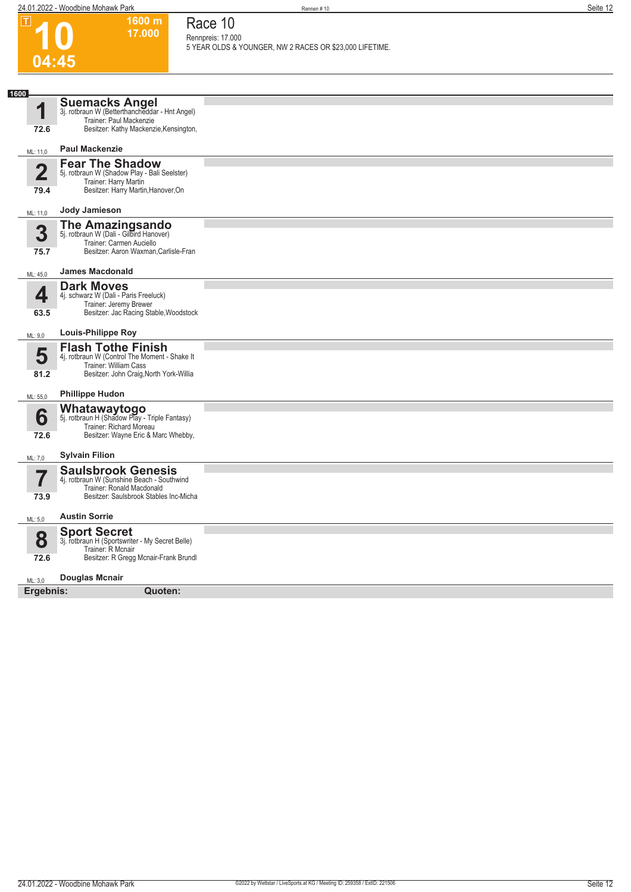$|\mathsf{T}|$ 

**1600 m 17.000** 

**Race 10 Rennpreis: 17.000**

#### **10 04:45 5 YEAR OLDS & YOUNGER, NW 2 RACES OR \$23,000 LIFETIME. 1 1600** ML: 11,0 **72.6 Suemacks Angel**<br>3j. rotbraun W (Betterthancheddar - Hnt Angel)<br>Trainer: Paul Mackenzie Besitzer: Kathy Mackenzie,Kensington, **Paul Mackenzie 2** ML: 11,0 **79.4 Fear The Shadow** 5j. rotbraun W (Shadow Play - Bali Seelster) Trainer: Harry Martin Besitzer: Harry Martin, Hanover, On **Jody Jamieson 3** ML: 45,0 **75.7 The Amazingsando** 5j. rotbraun W (Dali - Gilbird Hanover) Trainer: Carmen Auciello Besitzer: Aaron Waxman,Carlisle-Fran **James Macdonald 4** ML: 9,0 **63.5 Dark Moves** 4j. schwarz W (Dali - Paris Freeluck) Trainer: Jeremy Brewer Besitzer: Jac Racing Stable,Woodstock **Louis-Philippe Roy 5** ML: 55,0 **81.2 Flash Tothe Finish** 4j. rotbraun W (Control The Moment - Shake It Trainer: William Cass Besitzer: John Craig,North York-Willia **Phillippe Hudon 6** ML: 7,0 **72.6 Whatawaytogo** 5j. rotbraun H (Shadow Play - Triple Fantasy) Trainer: Richard Moreau Besitzer: Wayne Eric & Marc Whebby, **Sylvain Filion 7** ML: 5,0 **73.9 Saulsbrook Genesis** 4j. rotbraun W (Sunshine Beach - Southwind Trainer: Ronald Macdonald Besitzer: Saulsbrook Stables Inc-Micha **Austin Sorrie 8** ML: 3,0 **72.6 Sport Secret** 3j. rotbraun H (Sportswriter - My Secret Belle) Trainer: R Mcnair Besitzer: R Gregg Mcnair-Frank Brundl **Douglas Mcnair Ergebnis: Quoten:**